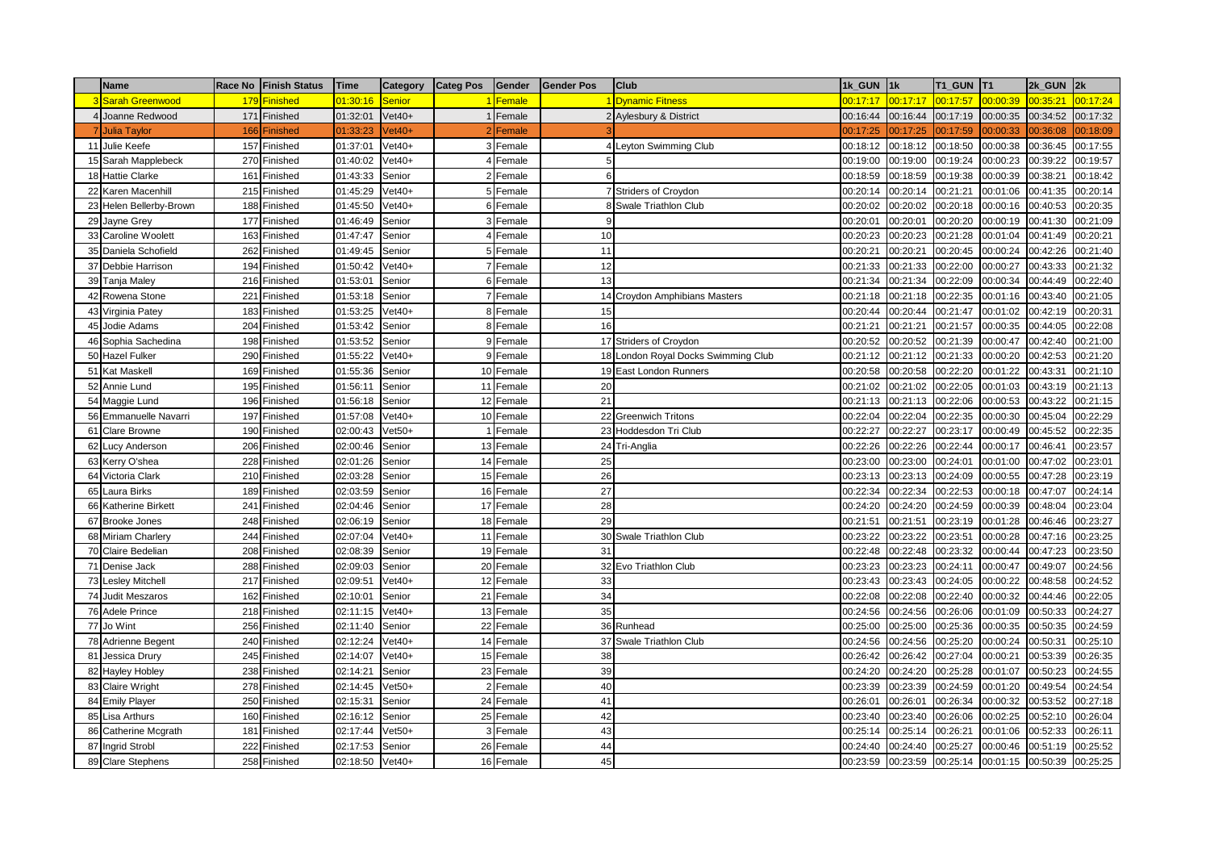|    | <b>Name</b>             |     | Race No Finish Status | Time     | Category      | <b>Categ Pos</b> | Gender    | Gender Pos | Club                                | 1k GUN 1k |          | <b>T1 GUN T1</b> |          | $2k$ GUN $2k$ |          |
|----|-------------------------|-----|-----------------------|----------|---------------|------------------|-----------|------------|-------------------------------------|-----------|----------|------------------|----------|---------------|----------|
|    | Sarah Greenwood         | 179 | <b>Finished</b>       | 01:30:16 | <b>Senior</b> |                  | Female    |            | <b>Dynamic Fitness</b>              | 00:17:17  | 00:17:17 | 00:17:57         | 00:00:39 | 00:35:21      | 00:17:24 |
|    | Joanne Redwood          | 171 | Finished              | 01:32:01 | $Vet40+$      |                  | Female    |            | Aylesbury & District                | 00:16:44  | 00:16:44 | 00:17:19         | 00:00:35 | 00:34:52      | 00:17:32 |
|    | <b>Julia Taylor</b>     | 166 | Finished              | 01:33:23 | $/et40+$      |                  | Female    |            |                                     | 00:17:25  | 00:17:25 | 00:17:59         | 00:00:33 | 00:36:08      | 00:18:09 |
|    | 11 Julie Keefe          | 157 | Finished              | 01:37:01 | $Vet40+$      |                  | Female    |            | Leyton Swimming Club                | 00:18:12  | 00:18:12 | 00:18:50         | 00:00:38 | 00:36:45      | 00:17:55 |
|    | 15 Sarah Mapplebeck     |     | 270 Finished          | 01:40:02 | $Vet40+$      |                  | Female    |            |                                     | 00:19:00  | 00:19:00 | 00:19:24         | 00:00:23 | 00:39:22      | 00:19:57 |
|    | 18 Hattie Clarke        | 161 | Finished              | 01:43:33 | Senior        |                  | 2 Female  |            |                                     | 00:18:59  | 00:18:59 | 00:19:38         | 00:00:39 | 00:38:21      | 00:18:42 |
| 22 | Karen Macenhill         | 215 | Finished              | 01:45:29 | $Vet40+$      |                  | 5 Female  |            | Striders of Croydon                 | 00:20:14  | 00:20:14 | 00:21:21         | 00:01:06 | 00:41:35      | 00:20:14 |
|    | 23 Helen Bellerby-Brown | 188 | Finished              | 01:45:50 | $Vet40+$      |                  | 6 Female  |            | Swale Triathlon Club                | 00:20:02  | 00:20:02 | 00:20:18         | 00:00:16 | 00:40:53      | 00:20:35 |
| 29 | Jayne Grey              | 177 | Finished              | 01:46:49 | Senior        |                  | 3 Female  |            |                                     | 00:20:01  | 00:20:01 | 00:20:20         | 00:00:19 | 00:41:30      | 00:21:09 |
|    | 33 Caroline Woolett     | 163 | Finished              | 01:47:47 | Senior        |                  | 4 Female  | 10         |                                     | 00:20:23  | 00:20:23 | 00:21:28         | 00:01:04 | 00:41:49      | 00:20:21 |
|    | 35 Daniela Schofield    | 262 | Finished              | 01:49:45 | Senior        |                  | 5 Female  | 11         |                                     | 00:20:21  | 00:20:21 | 00:20:45         | 00:00:24 | 00:42:26      | 00:21:40 |
|    | 37 Debbie Harrison      | 194 | Finished              | 01:50:42 | $Vet40+$      |                  | 7 Female  | 12         |                                     | 00:21:33  | 00:21:33 | 00:22:00         | 00:00:27 | 00:43:33      | 00:21:32 |
|    | 39 Tanja Maley          | 216 | Finished              | 01:53:01 | Senior        |                  | 6 Female  | 13         |                                     | 00:21:34  | 00:21:34 | 00:22:09         | 00:00:34 | 00:44:49      | 00:22:40 |
| 42 | Rowena Stone            | 221 | Finished              | 01:53:18 | Senior        |                  | 7 Female  |            | 14 Croydon Amphibians Masters       | 00:21:18  | 00:21:18 | 00:22:35         | 00:01:16 | 00:43:40      | 00:21:05 |
|    | 43 Virginia Patey       | 183 | Finished              | 01:53:25 | $Vet40+$      |                  | 8 Female  | 15         |                                     | 00:20:44  | 00:20:44 | 00:21:47         | 00:01:02 | 00:42:19      | 00:20:31 |
|    | 45 Jodie Adams          | 204 | Finished              | 01:53:42 | Senior        |                  | Female    | 16         |                                     | 00:21:21  | 00:21:21 | 00:21:57         | 00:00:35 | 00:44:05      | 00:22:08 |
| 46 | Sophia Sachedina        | 198 | Finished              | 01:53:52 | Senior        |                  | 9 Female  |            | 17 Striders of Croydon              | 00:20:52  | 00:20:52 | 00:21:39         | 00:00:47 | 00:42:40      | 00:21:00 |
|    | 50 Hazel Fulker         | 290 | Finished              | 01:55:22 | $Vet40+$      |                  | 9 Female  |            | 18 London Royal Docks Swimming Club | 00:21:12  | 00:21:12 | 00:21:33         | 00:00:20 | 00:42:53      | 00:21:20 |
|    | 51 Kat Maskell          | 169 | Finished              | 01:55:36 | Senior        |                  | 10 Female |            | 19 East London Runners              | 00:20:58  | 00:20:58 | 00:22:20         | 00:01:22 | 00:43:31      | 00:21:10 |
| 52 | Annie Lund              | 195 | Finished              | 01:56:11 | Senior        |                  | 11 Female | 20         |                                     | 00:21:02  | 00:21:02 | 00:22:05         | 00:01:03 | 00:43:19      | 00:21:13 |
|    | 54 Maggie Lund          | 196 | Finished              | 01:56:18 | Senior        |                  | 12 Female | 21         |                                     | 00:21:13  | 00:21:13 | 00:22:06         | 00:00:53 | 00:43:22      | 00:21:15 |
| 56 | Emmanuelle Navarri      | 197 | Finished              | 01:57:08 | $Vet40+$      |                  | 10 Female |            | 22 Greenwich Tritons                | 00:22:04  | 00:22:04 | 00:22:35         | 00:00:30 | 00:45:04      | 00:22:29 |
|    | 61 Clare Browne         |     | 190 Finished          | 02:00:43 | $Vet50+$      |                  | Female    |            | 23 Hoddesdon Tri Club               | 00:22:27  | 00:22:27 | 00:23:17         | 00:00:49 | 00:45:52      | 00:22:35 |
| 62 | Lucy Anderson           | 206 | Finished              | 02:00:46 | Senior        |                  | 13 Female |            | 24 Tri-Anglia                       | 00:22:26  | 00:22:26 | 00:22:44         | 00:00:17 | 00:46:41      | 00:23:57 |
|    | 63 Kerry O'shea         |     | 228 Finished          | 02:01:26 | Senior        |                  | 14 Female | 25         |                                     | 00:23:00  | 00:23:00 | 00:24:01         | 00:01:00 | 00:47:02      | 00:23:01 |
|    | 64 Victoria Clark       | 210 | Finished              | 02:03:28 | Senior        |                  | 15 Female | 26         |                                     | 00:23:13  | 00:23:13 | 00:24:09         | 00:00:55 | 00:47:28      | 00:23:19 |
| 65 | Laura Birks             | 189 | Finished              | 02:03:59 | Senior        |                  | 16 Female | 27         |                                     | 00:22:34  | 00:22:34 | 00:22:53         | 00:00:18 | 00:47:07      | 00:24:14 |
| 66 | Katherine Birkett       | 241 | Finished              | 02:04:46 | Senior        |                  | 17 Female | 28         |                                     | 00:24:20  | 00:24:20 | 00:24:59         | 00:00:39 | 00:48:04      | 00:23:04 |
| 67 | <b>Brooke Jones</b>     |     | 248 Finished          | 02:06:19 | Senior        |                  | 18 Female | 29         |                                     | 00:21:51  | 00:21:51 | 00:23:19         | 00:01:28 | 00:46:46      | 00:23:27 |
|    | 68 Miriam Charlery      | 244 | Finished              | 02:07:04 | $Vet40+$      |                  | 11 Female |            | 30 Swale Triathlon Club             | 00:23:22  | 00:23:22 | 00:23:51         | 00:00:28 | 00:47:16      | 00:23:25 |
|    | 70 Claire Bedelian      | 208 | Finished              | 02:08:39 | Senior        |                  | 19 Female | 31         |                                     | 00:22:48  | 00:22:48 | 00:23:32         | 00:00:44 | 00:47:23      | 00:23:50 |
|    | 71 Denise Jack          | 288 | Finished              | 02:09:03 | Senior        |                  | 20 Female |            | 32 Evo Triathlon Club               | 00:23:23  | 00:23:23 | 00:24:11         | 00:00:47 | 00:49:07      | 00:24:56 |
|    | 73 Lesley Mitchell      | 217 | Finished              | 02:09:51 | $Vet40+$      |                  | 12 Female | 33         |                                     | 00:23:43  | 00:23:43 | 00:24:05         | 00:00:22 | 00:48:58      | 00:24:52 |
|    | 74 Judit Meszaros       | 162 | Finished              | 02:10:01 | Senior        |                  | 21 Female | 34         |                                     | 00:22:08  | 00:22:08 | 00:22:40         | 00:00:32 | 00:44:46      | 00:22:05 |
|    | 76 Adele Prince         | 218 | Finished              | 02:11:15 | $Vet40+$      |                  | 13 Female | 35         |                                     | 00:24:56  | 00:24:56 | 00:26:06         | 00:01:09 | 00:50:33      | 00:24:27 |
|    | 77 Jo Wint              | 256 | Finished              | 02:11:40 | Senior        |                  | 22 Female |            | 36 Runhead                          | 00:25:00  | 00:25:00 | 00:25:36         | 00:00:35 | 00:50:35      | 00:24:59 |
|    | 78 Adrienne Begent      |     | 240 Finished          | 02:12:24 | $Vet40+$      |                  | 14 Female |            | 37 Swale Triathlon Club             | 00:24:56  | 00:24:56 | 00:25:20         | 00:00:24 | 00:50:31      | 00:25:10 |
| 81 | Jessica Drury           | 245 | Finished              | 02:14:07 | $Vet40+$      |                  | 15 Female | 38         |                                     | 00:26:42  | 00:26:42 | 00:27:04         | 00:00:21 | 00:53:39      | 00:26:35 |
|    | 82 Hayley Hobley        | 238 | Finished              | 02:14:21 | Senior        |                  | 23 Female | 39         |                                     | 00:24:20  | 00:24:20 | 00:25:28         | 00:01:07 | 00:50:23      | 00:24:55 |
|    | 83 Claire Wright        | 278 | Finished              | 02:14:45 | $Vet50+$      |                  | Female    | 40         |                                     | 00:23:39  | 00:23:39 | 00:24:59         | 00:01:20 | 00:49:54      | 00:24:54 |
|    | 84 Emily Player         | 250 | Finished              | 02:15:31 | Senior        |                  | 24 Female | 41         |                                     | 00:26:01  | 00:26:01 | 00:26:34         | 00:00:32 | 00:53:52      | 00:27:18 |
|    | 85 Lisa Arthurs         | 160 | Finished              | 02:16:12 | Senior        |                  | 25 Female | 42         |                                     | 00:23:40  | 00:23:40 | 00:26:06         | 00:02:25 | 00:52:10      | 00:26:04 |
|    | 86 Catherine Mcgrath    | 181 | Finished              | 02:17:44 | $Vet50+$      |                  | Female    | 43         |                                     | 00:25:14  | 00:25:14 | 00:26:21         | 00:01:06 | 00:52:33      | 00:26:11 |
|    | 87 Ingrid Strobl        | 222 | Finished              | 02:17:53 | Senior        |                  | 26 Female | 44         |                                     | 00:24:40  | 00:24:40 | 00:25:27         | 00:00:46 | 00:51:19      | 00:25:52 |
|    | 89 Clare Stephens       |     | 258 Finished          | 02:18:50 | $Vet40+$      |                  | 16 Female | 45         |                                     | 00:23:59  | 00:23:59 | 00:25:14         | 00:01:15 | 00:50:39      | 00:25:25 |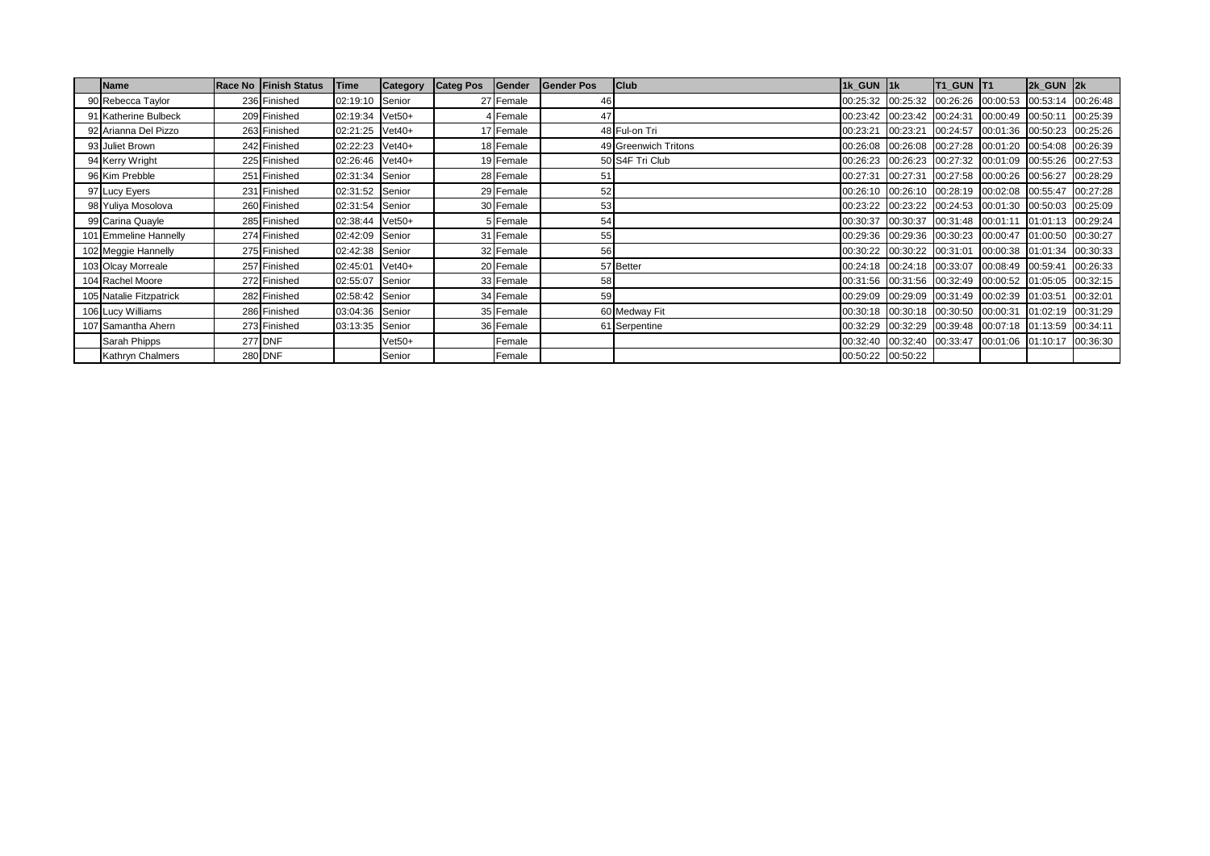| Name                    | Race No Finish Status | Time            | <b>Category</b> | <b>Categ Pos</b> | Gender    | <b>Gender Pos</b> | <b>Club</b>          | 1k GUN 1k |                            | T <sub>1_GUN</sub> T <sub>1</sub>                     |                            | 2k GUN 2k         |          |
|-------------------------|-----------------------|-----------------|-----------------|------------------|-----------|-------------------|----------------------|-----------|----------------------------|-------------------------------------------------------|----------------------------|-------------------|----------|
| 90 Rebecca Taylor       | 236 Finished          | 02:19:10 Senior |                 |                  | 27 Female | 46                |                      |           |                            | 00:25:32 00:25:32 00:26:26 00:00:53 00:53:14 00:26:48 |                            |                   |          |
| 91 Katherine Bulbeck    | 209 Finished          | 02:19:34 Vet50+ |                 |                  | 4 Female  | 47                |                      |           | 00:23:42 00:23:42 00:24:31 |                                                       | 00:00:49 00:50:11          |                   | 00:25:39 |
| 92 Arianna Del Pizzo    | 263 Finished          | 02:21:25 Vet40+ |                 |                  | 17 Female |                   | 48 Ful-on Tri        | 00:23:21  |                            | 00:23:21 00:24:57 00:01:36 00:50:23 00:25:26          |                            |                   |          |
| 93 Juliet Brown         | 242 Finished          | 02:22:23 Vet40+ |                 |                  | 18 Female |                   | 49 Greenwich Tritons |           |                            | 00:26:08 00:26:08 00:27:28 00:01:20 00:54:08 00:26:39 |                            |                   |          |
| 94 Kerry Wright         | 225 Finished          | 02:26:46 Vet40+ |                 |                  | 19 Female |                   | 50 S4F Tri Club      |           |                            | 00:26:23 00:26:23 00:27:32 00:01:09 00:55:26 00:27:53 |                            |                   |          |
| 96 Kim Prebble          | 251 Finished          | 02:31:34 Senior |                 |                  | 28 Female | 51                |                      |           |                            | 00:27:31 00:27:31 00:27:58 00:00:26 00:56:27 00:28:29 |                            |                   |          |
| 97 Lucy Eyers           | 231 Finished          | 02:31:52 Senior |                 |                  | 29 Female | 52                |                      |           |                            | 00:26:10 00:26:10 00:28:19 00:02:08 00:55:47 00:27:28 |                            |                   |          |
| 98 Yuliya Mosolova      | 260 Finished          | 02:31:54 Senior |                 |                  | 30 Female | 53                |                      |           |                            | 00:23:22 00:23:22 00:24:53 00:01:30 00:50:03 00:25:09 |                            |                   |          |
| 99 Carina Quayle        | 285 Finished          | 02:38:44 Vet50+ |                 |                  | 5 Female  | 54                |                      |           |                            | 00:30:37 00:30:37 00:31:48 00:01:11                   |                            | 01:01:13 00:29:24 |          |
| 101 Emmeline Hannelly   | 274 Finished          | 02:42:09 Senior |                 |                  | 31 Female | 55                |                      |           |                            | 00:29:36 00:29:36 00:30:23 00:00:47 01:00:50 00:30:27 |                            |                   |          |
| 102 Meggie Hannelly     | 275 Finished          | 02:42:38 Senior |                 |                  | 32 Female | 56                |                      |           | 00:30:22 00:30:22 00:31:01 |                                                       | 00:00:38 01:01:34 00:30:33 |                   |          |
| 103 Olcay Morreale      | 257 Finished          | 02:45:01        | $Vet40+$        |                  | 20 Female |                   | 57 Better            |           |                            | 00:24:18 00:24:18 00:33:07 00:08:49 00:59:41          |                            |                   | 00:26:33 |
| 104 Rachel Moore        | 272 Finished          | 02:55:07 Senior |                 |                  | 33 Female | 58                |                      |           |                            | 00:31:56 00:31:56 00:32:49 00:00:52 01:05:05 00:32:15 |                            |                   |          |
| 105 Natalie Fitzpatrick | 282 Finished          | 02:58:42 Senior |                 |                  | 34 Female | 59                |                      |           |                            | 00:29:09 00:29:09 00:31:49 00:02:39 01:03:51          |                            |                   | 00:32:01 |
| 106 Lucy Williams       | 286 Finished          | 03:04:36 Senior |                 |                  | 35 Female |                   | 60 Medway Fit        |           |                            | 00:30:18 00:30:18 00:30:50 00:00:31                   |                            | 01:02:19 00:31:29 |          |
| 107 Samantha Ahern      | 273 Finished          | 03:13:35 Senior |                 |                  | 36 Female |                   | 61 Serpentine        |           |                            | 00:32:29 00:32:29 00:39:48 00:07:18 01:13:59 00:34:11 |                            |                   |          |
| Sarah Phipps            | <b>277 DNF</b>        |                 | $Vet50+$        |                  | Female    |                   |                      |           |                            | 00:32:40 00:32:40 00:33:47 00:01:06 01:10:17 00:36:30 |                            |                   |          |
| <b>Kathryn Chalmers</b> | <b>280 DNF</b>        |                 | Senior          |                  | Female    |                   |                      |           | 00:50:22 00:50:22          |                                                       |                            |                   |          |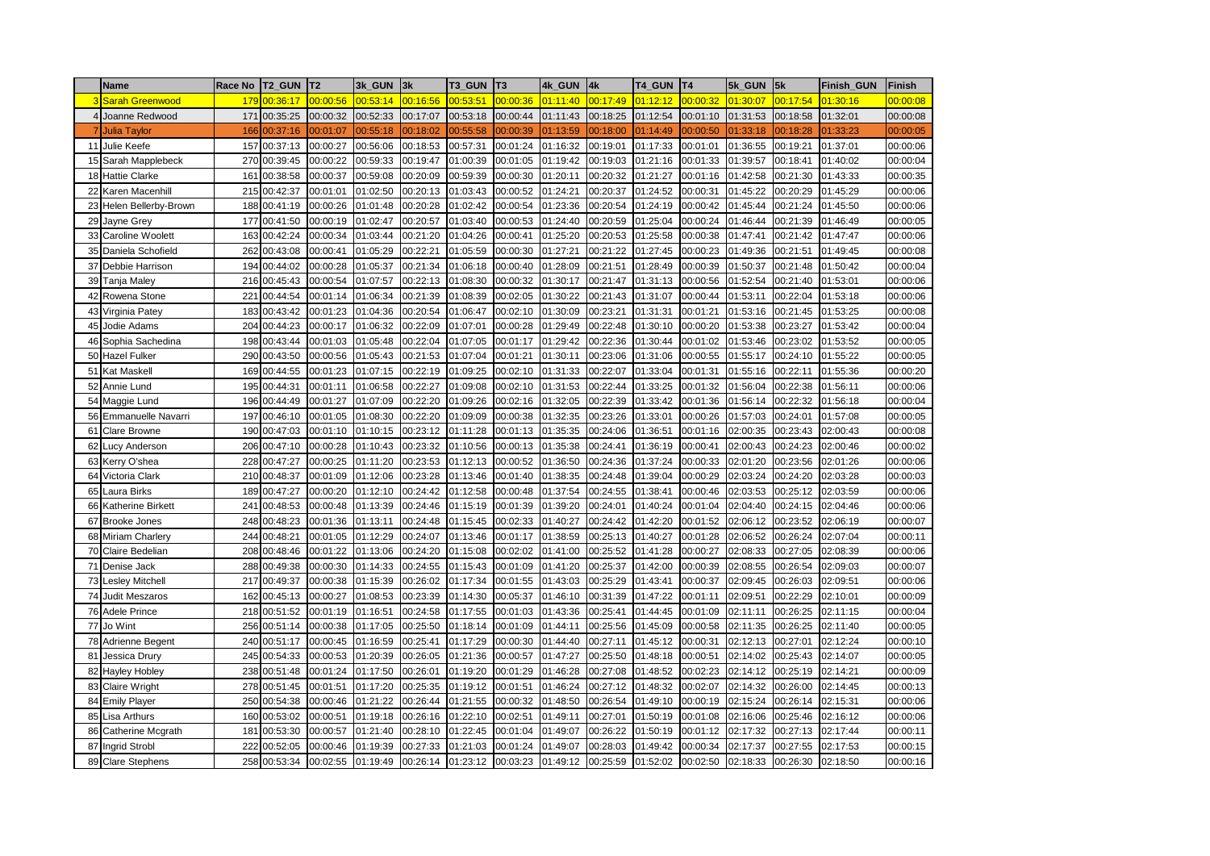|                | <b>Name</b>              | Race No | <b>T2 GUN</b> | T <sub>2</sub> | 3k GUN   | 3k       | <b>T3 GUN</b> | T <sub>3</sub> | 4k GUN   | 4k       | T4 GUN   | T <sub>4</sub> | 5k GUN   | 5k       | <b>Finish GUN</b> | <b>Finish</b> |
|----------------|--------------------------|---------|---------------|----------------|----------|----------|---------------|----------------|----------|----------|----------|----------------|----------|----------|-------------------|---------------|
|                | Sarah Greenwood          | 179     | 00:36:17      | 00:00:56       | 00:53:14 | 00:16:56 | 00:53:51      | 00:00:36       | 01:11:40 | 00:17:49 | 01:12:12 | 00:00:32       | 01:30:07 | 00:17:54 | 01:30:16          | 00:00:08      |
| $\overline{4}$ | Joanne Redwood           | 171     | 00:35:25      | 00:00:32       | 00:52:33 | 00:17:07 | 00:53:18      | 00:00:44       | 01:11:43 | 00:18:25 | 01:12:54 | 00:01:10       | 01:31:53 | 00:18:58 | 01:32:01          | 00:00:08      |
|                | <b>Julia Taylor</b>      | 166     | 00:37:16      | 00:01:07       | 00:55:18 | 00:18:02 | 00:55:58      | 00:00:39       | 01:13:59 | 00:18:00 | 01:14:49 | 00:00:50       | 01:33:18 | 00:18:28 | 1:33:23           | 00:00:05      |
| 11             | Julie Keefe              | 157     | 00:37:13      | 00:00:27       | 00:56:06 | 00:18:53 | 00:57:31      | 00:01:24       | 01:16:32 | 00:19:01 | 01:17:33 | 00:01:01       | 01:36:55 | 00:19:21 | 01:37:01          | 00:00:06      |
| 15             | Sarah Mapplebeck         | 270     | 00:39:45      | 00:00:22       | 00:59:33 | 00:19:47 | 01:00:39      | 00:01:05       | 01:19:42 | 00:19:03 | 01:21:16 | 00:01:33       | 01:39:57 | 00:18:41 | 01:40:02          | 00:00:04      |
| 18             | <b>Hattie Clarke</b>     | 161     | 00:38:58      | 00:00:37       | 00:59:08 | 00:20:09 | 00:59:39      | 00:00:30       | 01:20:11 | 00:20:32 | 01:21:27 | 00:01:16       | 01:42:58 | 00:21:30 | 01:43:33          | 00:00:35      |
| 22             | Karen Macenhill          | 215     | 00:42:37      | 00:01:01       | 01:02:50 | 00:20:13 | 01:03:43      | 00:00:52       | 01:24:21 | 00:20:37 | 01:24:52 | 00:00:31       | 01:45:22 | 00:20:29 | 01:45:29          | 00:00:06      |
| 23             | Helen Bellerby-Brown     |         | 188 00:41:19  | 00:00:26       | 01:01:48 | 00:20:28 | 01:02:42      | 00:00:54       | 01:23:36 | 00:20:54 | 01:24:19 | 00:00:42       | 01:45:44 | 00:21:24 | 01:45:50          | 00:00:06      |
| 29             | Jayne Grey               | 177     | 00:41:50      | 00:00:19       | 01:02:47 | 00:20:57 | 01:03:40      | 00:00:53       | 01:24:40 | 00:20:59 | 01:25:04 | 00:00:24       | 01:46:44 | 00:21:39 | 01:46:49          | 00:00:05      |
| 33             | Caroline Woolett         | 163     | 00:42:24      | 00:00:34       | 01:03:44 | 00:21:20 | 01:04:26      | 00:00:41       | 01:25:20 | 00:20:53 | 01:25:58 | 00:00:38       | 01:47:41 | 00:21:42 | 01:47:47          | 00:00:06      |
| 35             | Daniela Schofield        | 262     | 00:43:08      | 00:00:41       | 01:05:29 | 00:22:21 | 01:05:59      | 00:00:30       | 01:27:21 | 00:21:22 | 01:27:45 | 00:00:23       | 01:49:36 | 00:21:51 | 01:49:45          | 00:00:08      |
| 37             | Debbie Harrison          | 194     | 00:44:02      | 00:00:28       | 01:05:37 | 00:21:34 | 01:06:18      | 00:00:40       | 01:28:09 | 00:21:51 | 01:28:49 | 00:00:39       | 01:50:37 | 00:21:48 | 01:50:42          | 00:00:04      |
| 39             | Tanja Maley              | 216     | 00:45:43      | 00:00:54       | 01:07:57 | 00:22:13 | 01:08:30      | 00:00:32       | 01:30:17 | 00:21:47 | 01:31:13 | 00:00:56       | 01:52:54 | 00:21:40 | 01:53:01          | 00:00:06      |
| 42             | Rowena Stone             | 221     | 00:44:54      | 00:01:14       | 01:06:34 | 00:21:39 | 01:08:39      | 00:02:05       | 01:30:22 | 00:21:43 | 01:31:07 | 00:00:44       | 01:53:11 | 00:22:04 | 01:53:18          | 00:00:06      |
| 43             | Virginia Patey           | 183     | 00:43:42      | 00:01:23       | 01:04:36 | 00:20:54 | 01:06:47      | 00:02:10       | 01:30:09 | 00:23:21 | 01:31:31 | 00:01:21       | 01:53:16 | 00:21:45 | 01:53:25          | 00:00:08      |
| 45             | Jodie Adams              | 204     | 00:44:23      | 00:00:17       | 01:06:32 | 00:22:09 | 01:07:01      | 00:00:28       | 01:29:49 | 00:22:48 | 01:30:10 | 00:00:20       | 01:53:38 | 00:23:27 | 01:53:42          | 00:00:04      |
| 46             | Sophia Sachedina         | 198     | 00:43:44      | 00:01:03       | 01:05:48 | 00:22:04 | 01:07:05      | 00:01:17       | 01:29:42 | 00:22:36 | 01:30:44 | 00:01:02       | 01:53:46 | 00:23:02 | 01:53:52          | 00:00:05      |
| 50             | Hazel Fulker             |         | 290 00:43:50  | 00:00:56       | 01:05:43 | 00:21:53 | 01:07:04      | 00:01:21       | 01:30:11 | 00:23:06 | 01:31:06 | 00:00:55       | 01:55:17 | 00:24:10 | 01:55:22          | 00:00:05      |
| 51             | Kat Maskell              | 169     | 00:44:55      | 00:01:23       | 01:07:15 | 00:22:19 | 01:09:25      | 00:02:10       | 01:31:33 | 00:22:07 | 01:33:04 | 00:01:31       | 01:55:16 | 00:22:11 | 01:55:36          | 00:00:20      |
| 52             | Annie Lund               |         | 195 00:44:31  | 00:01:11       | 01:06:58 | 00:22:27 | 01:09:08      | 00:02:10       | 01:31:53 | 00:22:44 | 01:33:25 | 00:01:32       | 01:56:04 | 00:22:38 | 01:56:11          | 00:00:06      |
| 54             | Maggie Lund              | 196     | 00:44:49      | 00:01:27       | 01:07:09 | 00:22:20 | 01:09:26      | 00:02:16       | 01:32:05 | 00:22:39 | 01:33:42 | 00:01:36       | 01:56:14 | 00:22:32 | 01:56:18          | 00:00:04      |
| 56             | Emmanuelle Navarri       | 197     | 00:46:10      | 00:01:05       | 01:08:30 | 00:22:20 | 01:09:09      | 00:00:38       | 01:32:35 | 00:23:26 | 01:33:01 | 00:00:26       | 01:57:03 | 00:24:01 | 01:57:08          | 00:00:05      |
| 61             | Clare Browne             | 190     | 00:47:03      | 00:01:10       | 01:10:15 | 00:23:12 | 01:11:28      | 00:01:13       | 01:35:35 | 00:24:06 | 01:36:51 | 00:01:16       | 02:00:35 | 00:23:43 | 02:00:43          | 00:00:08      |
| 62             | ucy Anderson             |         | 206 00:47:10  | 00:00:28       | 01:10:43 | 00:23:32 | 01:10:56      | 00:00:13       | 01:35:38 | 00:24:41 | 01:36:19 | 00:00:41       | 02:00:43 | 00:24:23 | 02:00:46          | 00:00:02      |
| 63             | Kerry O'shea             | 228     | 00:47:27      | 00:00:25       | 01:11:20 | 00:23:53 | 01:12:13      | 00:00:52       | 01:36:50 | 00:24:36 | 01:37:24 | 00:00:33       | 02:01:20 | 00:23:56 | 02:01:26          | 00:00:06      |
| 64             | Victoria Clark           | 210     | 00:48:37      | 00:01:09       | 01:12:06 | 00:23:28 | 01:13:46      | 00:01:40       | 01:38:35 | 00:24:48 | 01:39:04 | 00:00:29       | 02:03:24 | 00:24:20 | 02:03:28          | 00:00:03      |
| 65             | aura Birks.              | 189     | 00:47:27      | 00:00:20       | 01:12:10 | 00:24:42 | 01:12:58      | 00:00:48       | 01:37:54 | 00:24:55 | 01:38:41 | 00:00:46       | 02:03:53 | 00:25:12 | 02:03:59          | 00:00:06      |
| 66             | <b>Katherine Birkett</b> | 241     | 00:48:53      | 00:00:48       | 01:13:39 | 00:24:46 | 01:15:19      | 00:01:39       | 01:39:20 | 00:24:01 | 01:40:24 | 00:01:04       | 02:04:40 | 00:24:15 | 02:04:46          | 00:00:06      |
| 67             | <b>Brooke Jones</b>      | 248     | 00:48:23      | 00:01:36       | 01:13:11 | 00:24:48 | 01:15:45      | 00:02:33       | 01:40:27 | 00:24:42 | 01:42:20 | 00:01:52       | 02:06:12 | 00:23:52 | 02:06:19          | 00:00:07      |
| 68             | <b>Miriam Charlery</b>   |         | 244 00:48:21  | 00:01:05       | 01:12:29 | 00:24:07 | 01:13:46      | 00:01:17       | 01:38:59 | 00:25:13 | 01:40:27 | 00:01:28       | 02:06:52 | 00:26:24 | 02:07:04          | 00:00:11      |
| 70             | Claire Bedelian          | 208     | 00:48:46      | 00:01:22       | 01:13:06 | 00:24:20 | 01:15:08      | 00:02:02       | 01:41:00 | 00:25:52 | 01:41:28 | 00:00:27       | 02:08:33 | 00:27:05 | 02:08:39          | 00:00:06      |
| 71             | Denise Jack              | 288     | 00:49:38      | 00:00:30       | 01:14:33 | 00:24:55 | 01:15:43      | 00:01:09       | 01:41:20 | 00:25:37 | 01:42:00 | 00:00:39       | 02:08:55 | 00:26:54 | 02:09:03          | 00:00:07      |
| 73             | esley Mitchell           | 217     | 00:49:37      | 00:00:38       | 01:15:39 | 00:26:02 | 01:17:34      | 00:01:55       | 01:43:03 | 00:25:29 | 01:43:41 | 00:00:37       | 02:09:45 | 00:26:03 | 02:09:51          | 00:00:06      |
| 74             | Judit Meszaros           | 162     | 00:45:13      | 00:00:27       | 01:08:53 | 00:23:39 | 01:14:30      | 00:05:37       | 01:46:10 | 00:31:39 | 01:47:22 | 00:01:11       | 02:09:51 | 00:22:29 | 02:10:01          | 00:00:09      |
| 76             | Adele Prince             | 218     | 00:51:52      | 00:01:19       | 01:16:51 | 00:24:58 | 01:17:55      | 00:01:03       | 01:43:36 | 00:25:41 | 01:44:45 | 00:01:09       | 02:11:11 | 00:26:25 | 02:11:15          | 00:00:04      |
| 77             | Jo Wint                  | 256     | 00:51:14      | 00:00:38       | 01:17:05 | 00:25:50 | 01:18:14      | 00:01:09       | 01:44:11 | 00:25:56 | 01:45:09 | 00:00:58       | 02:11:35 | 00:26:25 | 02:11:40          | 00:00:05      |
| 78             | Adrienne Begent          |         | 240 00:51:17  | 00:00:45       | 01:16:59 | 00:25:41 | 01:17:29      | 00:00:30       | 01:44:40 | 00:27:11 | 01:45:12 | 00:00:31       | 02:12:13 | 00:27:01 | 02:12:24          | 00:00:10      |
| 81             | Jessica Drury            |         | 245 00:54:33  | 00:00:53       | 01:20:39 | 00:26:05 | 01:21:36      | 00:00:57       | 01:47:27 | 00:25:50 | 01:48:18 | 00:00:51       | 02:14:02 | 00:25:43 | 02:14:07          | 00:00:05      |
| 82             | Hayley Hobley            | 238     | 00:51:48      | 00:01:24       | 01:17:50 | 00:26:01 | 01:19:20      | 00:01:29       | 01:46:28 | 00:27:08 | 01:48:52 | 00:02:23       | 02:14:12 | 00:25:19 | 02:14:21          | 00:00:09      |
| 83             | Claire Wright            |         | 278 00:51:45  | 00:01:51       | 01:17:20 | 00:25:35 | 01:19:12      | 00:01:51       | 01:46:24 | 00:27:12 | 01:48:32 | 00:02:07       | 02:14:32 | 00:26:00 | 02:14:45          | 00:00:13      |
| 84             | <b>Emily Player</b>      | 250     | 00:54:38      | 00:00:46       | 01:21:22 | 00:26:44 | 01:21:55      | 00:00:32       | 01:48:50 | 00:26:54 | 01:49:10 | 00:00:19       | 02:15:24 | 00:26:14 | 02:15:31          | 00:00:06      |
| 85             | Lisa Arthurs             |         | 160 00:53:02  | 00:00:51       | 01:19:18 | 00:26:16 | 01:22:10      | 00:02:51       | 01:49:11 | 00:27:01 | 01:50:19 | 00:01:08       | 02:16:06 | 00:25:46 | 02:16:12          | 00:00:06      |
| 86             | Catherine Mcgrath        | 181     | 00:53:30      | 00:00:57       | 01:21:40 | 00:28:10 | 01:22:45      | 00:01:04       | 01:49:07 | 00:26:22 | 01:50:19 | 00:01:12       | 02:17:32 | 00:27:13 | 02:17:44          | 00:00:11      |
| 87             | <b>Ingrid Strobl</b>     | 222     | 00:52:05      | 00:00:46       | 01:19:39 | 00:27:33 | 01:21:03      | 00:01:24       | 01:49:07 | 00:28:03 | 01:49:42 | 00:00:34       | 02:17:37 | 00:27:55 | 02:17:53          | 00:00:15      |
|                | 89 Clare Stephens        |         | 258 00:53:34  | 00:02:55       | 01:19:49 | 00:26:14 | 01:23:12      | 00:03:23       | 01:49:12 | 00:25:59 | 01:52:02 | 00:02:50       | 02:18:33 | 00:26:30 | 02:18:50          | 00:00:16      |